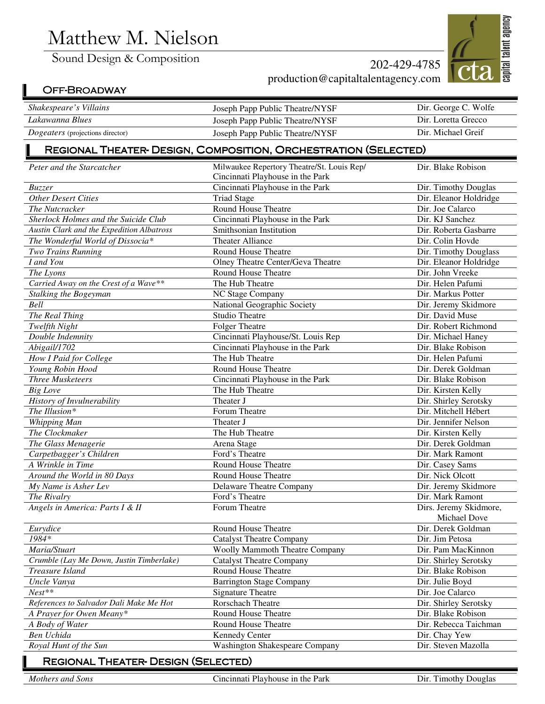# Matthew M. Nielson

Sound Design & Composition

capital talent agency

## 202-429-4785 production@capitaltalentagency.com

# OFF-BROADWAY

| Shakespeare's Villains                  | Joseph Papp Public Theatre/NYSF | Dir. George C. Wolfe |
|-----------------------------------------|---------------------------------|----------------------|
| Lakawanna Blues                         | Joseph Papp Public Theatre/NYSF | Dir. Loretta Grecco  |
| <i>Dogeaters</i> (projections director) | Joseph Papp Public Theatre/NYSF | Dir. Michael Greif   |
|                                         |                                 |                      |

#### REGIONAL THEATER-DESIGN, COMPOSITION, ORCHESTRATION (SELECTED)

| Peter and the Starcatcher                 | Milwaukee Repertory Theatre/St. Louis Rep/ | Dir. Blake Robison     |
|-------------------------------------------|--------------------------------------------|------------------------|
|                                           | Cincinnati Playhouse in the Park           |                        |
| Buzzer                                    | Cincinnati Playhouse in the Park           | Dir. Timothy Douglas   |
| <b>Other Desert Cities</b>                | <b>Triad Stage</b>                         | Dir. Eleanor Holdridge |
| The Nutcracker                            | Round House Theatre                        | Dir. Joe Calarco       |
| Sherlock Holmes and the Suicide Club      | Cincinnati Playhouse in the Park           | Dir. KJ Sanchez        |
| Austin Clark and the Expedition Albatross | Smithsonian Institution                    | Dir. Roberta Gasbarre  |
| The Wonderful World of Dissocia*          | Theater Alliance                           | Dir. Colin Hovde       |
| Two Trains Running                        | Round House Theatre                        | Dir. Timothy Douglass  |
| I and You                                 | Olney Theatre Center/Geva Theatre          | Dir. Eleanor Holdridge |
| The Lyons                                 | Round House Theatre                        | Dir. John Vreeke       |
| Carried Away on the Crest of a Wave**     | The Hub Theatre                            | Dir. Helen Pafumi      |
| Stalking the Bogeyman                     | NC Stage Company                           | Dir. Markus Potter     |
| Bell                                      | National Geographic Society                | Dir. Jeremy Skidmore   |
| The Real Thing                            | <b>Studio Theatre</b>                      | Dir. David Muse        |
| Twelfth Night                             | <b>Folger Theatre</b>                      | Dir. Robert Richmond   |
| Double Indemnity                          | Cincinnati Playhouse/St. Louis Rep         | Dir. Michael Haney     |
| Abigail/1702                              | Cincinnati Playhouse in the Park           | Dir. Blake Robison     |
| How I Paid for College                    | The Hub Theatre                            | Dir. Helen Pafumi      |
| Young Robin Hood                          | Round House Theatre                        | Dir. Derek Goldman     |
| <b>Three Musketeers</b>                   | Cincinnati Playhouse in the Park           | Dir. Blake Robison     |
| <b>Big Love</b>                           | The Hub Theatre                            | Dir. Kirsten Kelly     |
| History of Invulnerability                | Theater J                                  | Dir. Shirley Serotsky  |
| The Illusion*                             | Forum Theatre                              | Dir. Mitchell Hébert   |
| Whipping Man                              | Theater J                                  | Dir. Jennifer Nelson   |
| The Clockmaker                            | The Hub Theatre                            | Dir. Kirsten Kelly     |
| The Glass Menagerie                       | Arena Stage                                | Dir. Derek Goldman     |
| Carpetbagger's Children                   | Ford's Theatre                             | Dir. Mark Ramont       |
| A Wrinkle in Time                         | Round House Theatre                        | Dir. Casey Sams        |
| Around the World in 80 Days               | <b>Round House Theatre</b>                 | Dir. Nick Olcott       |
| My Name is Asher Lev                      | Delaware Theatre Company                   | Dir. Jeremy Skidmore   |
| The Rivalry                               | Ford's Theatre                             | Dir. Mark Ramont       |
| Angels in America: Parts I & II           | Forum Theatre                              | Dirs. Jeremy Skidmore, |
|                                           |                                            | Michael Dove           |
| Eurydice                                  | Round House Theatre                        | Dir. Derek Goldman     |
| 1984*                                     | <b>Catalyst Theatre Company</b>            | Dir. Jim Petosa        |
| Maria/Stuart                              | <b>Woolly Mammoth Theatre Company</b>      | Dir. Pam MacKinnon     |
| Crumble (Lay Me Down, Justin Timberlake)  | Catalyst Theatre Company                   | Dir. Shirley Serotsky  |
| Treasure Island                           | Round House Theatre                        | Dir. Blake Robison     |
| Uncle Vanya                               | <b>Barrington Stage Company</b>            | Dir. Julie Boyd        |
| $Nest**$                                  | <b>Signature Theatre</b>                   | Dir. Joe Calarco       |
| References to Salvador Dali Make Me Hot   | <b>Rorschach Theatre</b>                   | Dir. Shirley Serotsky  |
| A Prayer for Owen Meany*                  | Round House Theatre                        | Dir. Blake Robison     |
| A Body of Water                           | Round House Theatre                        | Dir. Rebecca Taichman  |
| Ben Uchida                                | <b>Kennedy Center</b>                      | Dir. Chay Yew          |
| Royal Hunt of the Sun                     | <b>Washington Shakespeare Company</b>      | Dir. Steven Mazolla    |
|                                           |                                            |                        |

#### REGIONAL THEATER- DESIGN (SELECTED)

*Mothers and Sons* **Cincinnati Playhouse in the Park** Dir. Timothy Douglas